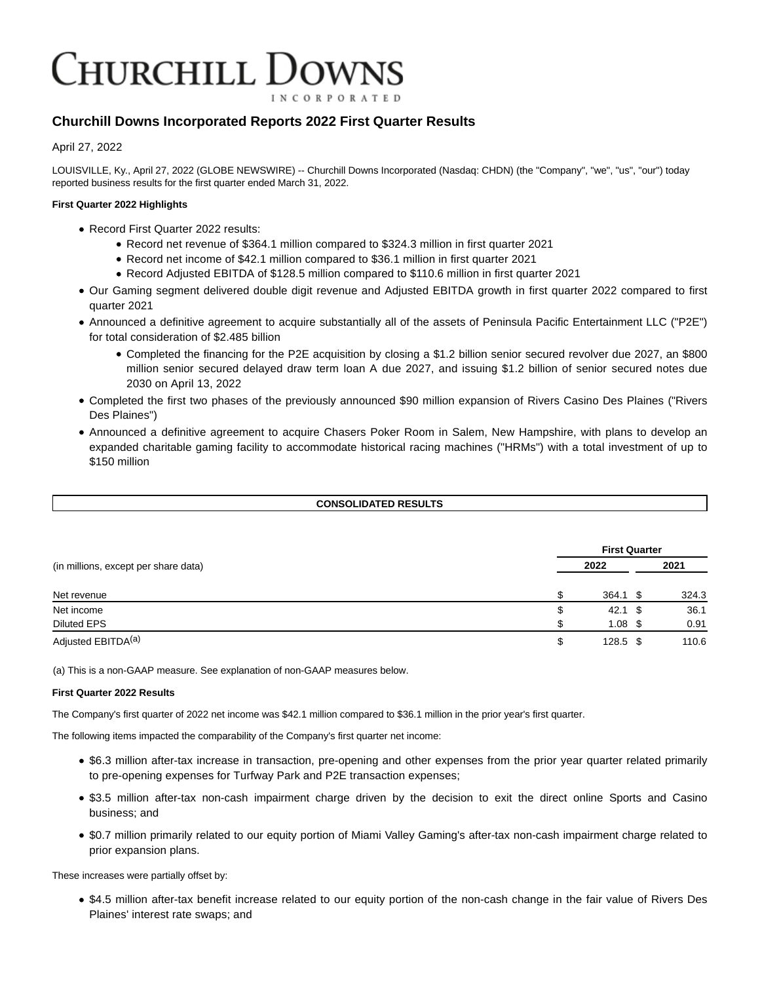# **HURCHILL DOWNS INCORPORATED**

# **Churchill Downs Incorporated Reports 2022 First Quarter Results**

April 27, 2022

LOUISVILLE, Ky., April 27, 2022 (GLOBE NEWSWIRE) -- Churchill Downs Incorporated (Nasdaq: CHDN) (the "Company", "we", "us", "our") today reported business results for the first quarter ended March 31, 2022.

# **First Quarter 2022 Highlights**

- Record First Quarter 2022 results:
	- Record net revenue of \$364.1 million compared to \$324.3 million in first quarter 2021
	- Record net income of \$42.1 million compared to \$36.1 million in first quarter 2021
	- Record Adjusted EBITDA of \$128.5 million compared to \$110.6 million in first quarter 2021
- Our Gaming segment delivered double digit revenue and Adjusted EBITDA growth in first quarter 2022 compared to first quarter 2021
- Announced a definitive agreement to acquire substantially all of the assets of Peninsula Pacific Entertainment LLC ("P2E") for total consideration of \$2.485 billion
	- Completed the financing for the P2E acquisition by closing a \$1.2 billion senior secured revolver due 2027, an \$800 million senior secured delayed draw term loan A due 2027, and issuing \$1.2 billion of senior secured notes due 2030 on April 13, 2022
- Completed the first two phases of the previously announced \$90 million expansion of Rivers Casino Des Plaines ("Rivers Des Plaines")
- Announced a definitive agreement to acquire Chasers Poker Room in Salem, New Hampshire, with plans to develop an expanded charitable gaming facility to accommodate historical racing machines ("HRMs") with a total investment of up to \$150 million

# **CONSOLIDATED RESULTS**

|                                      |   | <b>First Quarter</b> |      |       |  |  |
|--------------------------------------|---|----------------------|------|-------|--|--|
| (in millions, except per share data) |   | 2022                 |      | 2021  |  |  |
| Net revenue                          |   | 364.1                | - \$ | 324.3 |  |  |
| Net income                           | S | $42.1 \text{ } $$    |      | 36.1  |  |  |
| <b>Diluted EPS</b>                   |   | $1.08 \text{ }$ \$   |      | 0.91  |  |  |
| Adjusted EBITDA <sup>(a)</sup>       | S | $128.5$ \$           |      | 110.6 |  |  |

(a) This is a non-GAAP measure. See explanation of non-GAAP measures below.

## **First Quarter 2022 Results**

The Company's first quarter of 2022 net income was \$42.1 million compared to \$36.1 million in the prior year's first quarter.

The following items impacted the comparability of the Company's first quarter net income:

- \$6.3 million after-tax increase in transaction, pre-opening and other expenses from the prior year quarter related primarily to pre-opening expenses for Turfway Park and P2E transaction expenses;
- \$3.5 million after-tax non-cash impairment charge driven by the decision to exit the direct online Sports and Casino business; and
- \$0.7 million primarily related to our equity portion of Miami Valley Gaming's after-tax non-cash impairment charge related to prior expansion plans.

These increases were partially offset by:

\$4.5 million after-tax benefit increase related to our equity portion of the non-cash change in the fair value of Rivers Des Plaines' interest rate swaps; and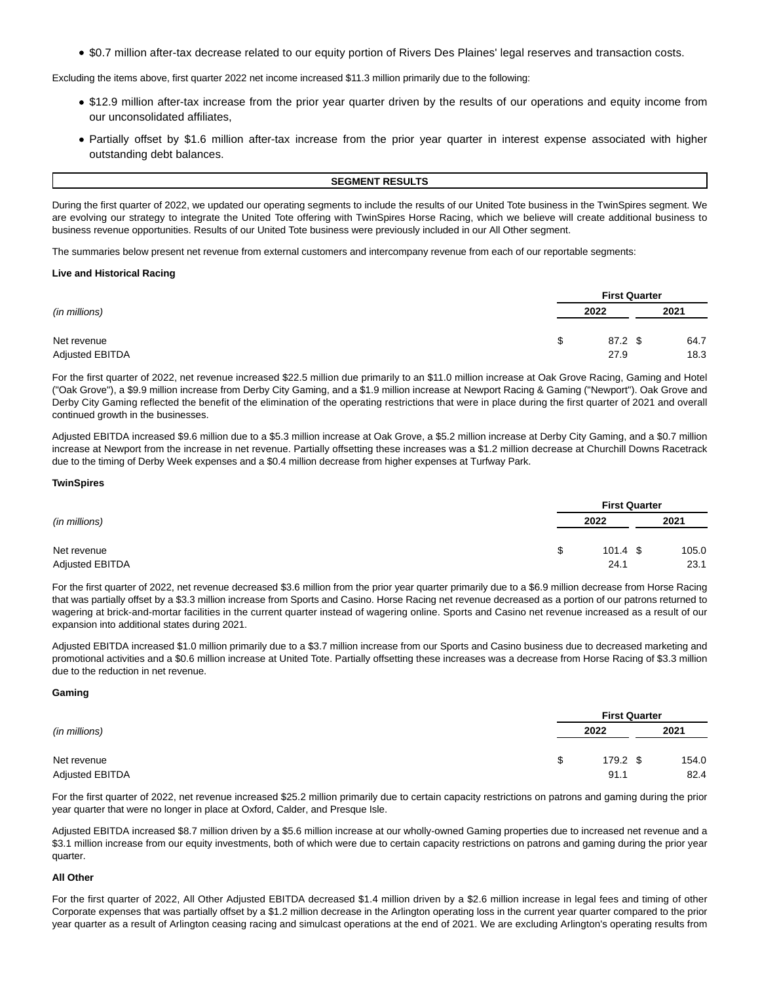\$0.7 million after-tax decrease related to our equity portion of Rivers Des Plaines' legal reserves and transaction costs.

Excluding the items above, first quarter 2022 net income increased \$11.3 million primarily due to the following:

- \$12.9 million after-tax increase from the prior year quarter driven by the results of our operations and equity income from our unconsolidated affiliates,
- Partially offset by \$1.6 million after-tax increase from the prior year quarter in interest expense associated with higher outstanding debt balances.

#### **SEGMENT RESULTS**

During the first quarter of 2022, we updated our operating segments to include the results of our United Tote business in the TwinSpires segment. We are evolving our strategy to integrate the United Tote offering with TwinSpires Horse Racing, which we believe will create additional business to business revenue opportunities. Results of our United Tote business were previously included in our All Other segment.

The summaries below present net revenue from external customers and intercompany revenue from each of our reportable segments:

#### **Live and Historical Racing**

|                        |    | <b>First Quarter</b> |      |  |  |
|------------------------|----|----------------------|------|--|--|
| (in millions)          |    | 2022                 | 2021 |  |  |
| Net revenue            | \$ | 87.2 \$              | 64.7 |  |  |
| <b>Adjusted EBITDA</b> |    | 27.9                 | 18.3 |  |  |

For the first quarter of 2022, net revenue increased \$22.5 million due primarily to an \$11.0 million increase at Oak Grove Racing, Gaming and Hotel ("Oak Grove"), a \$9.9 million increase from Derby City Gaming, and a \$1.9 million increase at Newport Racing & Gaming ("Newport"). Oak Grove and Derby City Gaming reflected the benefit of the elimination of the operating restrictions that were in place during the first quarter of 2021 and overall continued growth in the businesses.

Adjusted EBITDA increased \$9.6 million due to a \$5.3 million increase at Oak Grove, a \$5.2 million increase at Derby City Gaming, and a \$0.7 million increase at Newport from the increase in net revenue. Partially offsetting these increases was a \$1.2 million decrease at Churchill Downs Racetrack due to the timing of Derby Week expenses and a \$0.4 million decrease from higher expenses at Turfway Park.

#### **TwinSpires**

|                 |    | <b>First Quarter</b> |  |       |  |
|-----------------|----|----------------------|--|-------|--|
| (in millions)   |    | 2022                 |  | 2021  |  |
| Net revenue     | \$ | $101.4 \text{ } $$   |  | 105.0 |  |
| Adjusted EBITDA |    | 24.1                 |  | 23.1  |  |

For the first quarter of 2022, net revenue decreased \$3.6 million from the prior year quarter primarily due to a \$6.9 million decrease from Horse Racing that was partially offset by a \$3.3 million increase from Sports and Casino. Horse Racing net revenue decreased as a portion of our patrons returned to wagering at brick-and-mortar facilities in the current quarter instead of wagering online. Sports and Casino net revenue increased as a result of our expansion into additional states during 2021.

Adjusted EBITDA increased \$1.0 million primarily due to a \$3.7 million increase from our Sports and Casino business due to decreased marketing and promotional activities and a \$0.6 million increase at United Tote. Partially offsetting these increases was a decrease from Horse Racing of \$3.3 million due to the reduction in net revenue.

#### **Gaming**

|                        |  | <b>First Quarter</b> |       |  |
|------------------------|--|----------------------|-------|--|
| (in millions)          |  | 2022                 | 2021  |  |
| Net revenue            |  | 179.2 \$             | 154.0 |  |
| <b>Adjusted EBITDA</b> |  | 91.1                 | 82.4  |  |

For the first quarter of 2022, net revenue increased \$25.2 million primarily due to certain capacity restrictions on patrons and gaming during the prior year quarter that were no longer in place at Oxford, Calder, and Presque Isle.

Adjusted EBITDA increased \$8.7 million driven by a \$5.6 million increase at our wholly-owned Gaming properties due to increased net revenue and a \$3.1 million increase from our equity investments, both of which were due to certain capacity restrictions on patrons and gaming during the prior year quarter.

## **All Other**

For the first quarter of 2022, All Other Adjusted EBITDA decreased \$1.4 million driven by a \$2.6 million increase in legal fees and timing of other Corporate expenses that was partially offset by a \$1.2 million decrease in the Arlington operating loss in the current year quarter compared to the prior year quarter as a result of Arlington ceasing racing and simulcast operations at the end of 2021. We are excluding Arlington's operating results from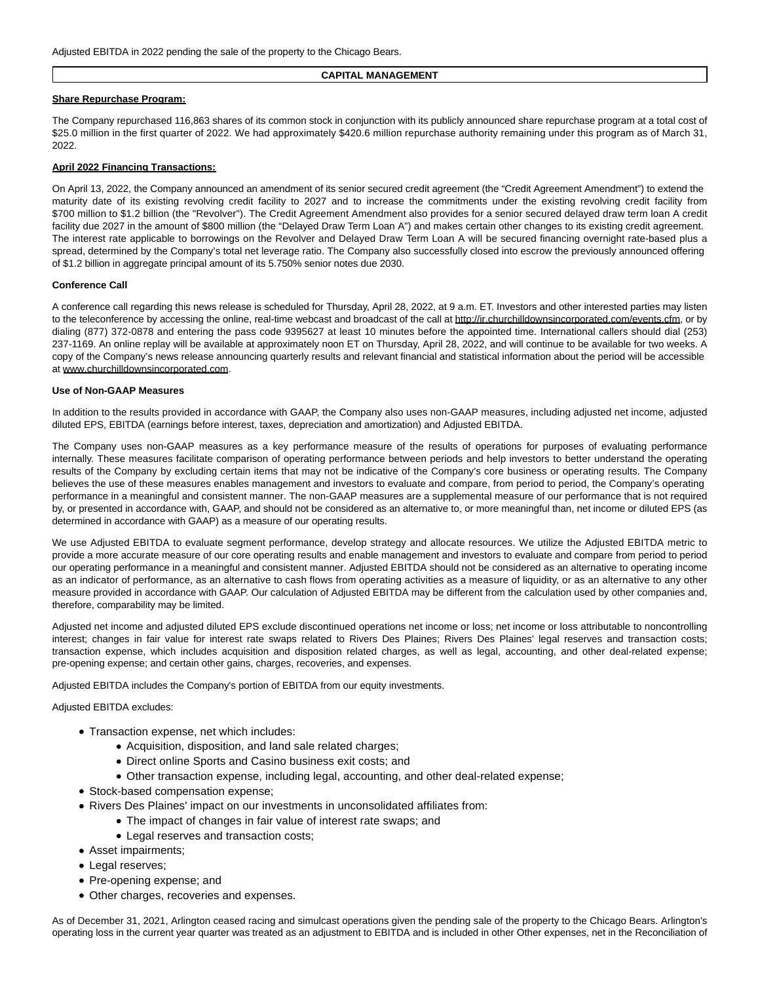## **CAPITAL MANAGEMENT**

## **Share Repurchase Program:**

The Company repurchased 116,863 shares of its common stock in conjunction with its publicly announced share repurchase program at a total cost of \$25.0 million in the first quarter of 2022. We had approximately \$420.6 million repurchase authority remaining under this program as of March 31, 2022.

## **April 2022 Financing Transactions:**

On April 13, 2022, the Company announced an amendment of its senior secured credit agreement (the "Credit Agreement Amendment") to extend the maturity date of its existing revolving credit facility to 2027 and to increase the commitments under the existing revolving credit facility from \$700 million to \$1.2 billion (the "Revolver"). The Credit Agreement Amendment also provides for a senior secured delayed draw term loan A credit facility due 2027 in the amount of \$800 million (the "Delayed Draw Term Loan A") and makes certain other changes to its existing credit agreement. The interest rate applicable to borrowings on the Revolver and Delayed Draw Term Loan A will be secured financing overnight rate-based plus a spread, determined by the Company's total net leverage ratio. The Company also successfully closed into escrow the previously announced offering of \$1.2 billion in aggregate principal amount of its 5.750% senior notes due 2030.

#### **Conference Call**

A conference call regarding this news release is scheduled for Thursday, April 28, 2022, at 9 a.m. ET. Investors and other interested parties may listen to the teleconference by accessing the online, real-time webcast and broadcast of the call at http://ir.churchilldownsincorporated.com/events.cfm, or by dialing (877) 372-0878 and entering the pass code 9395627 at least 10 minutes before the appointed time. International callers should dial (253) 237-1169. An online replay will be available at approximately noon ET on Thursday, April 28, 2022, and will continue to be available for two weeks. A copy of the Company's news release announcing quarterly results and relevant financial and statistical information about the period will be accessible at www.churchilldownsincorporated.com.

#### **Use of Non-GAAP Measures**

In addition to the results provided in accordance with GAAP, the Company also uses non-GAAP measures, including adjusted net income, adjusted diluted EPS, EBITDA (earnings before interest, taxes, depreciation and amortization) and Adjusted EBITDA.

The Company uses non-GAAP measures as a key performance measure of the results of operations for purposes of evaluating performance internally. These measures facilitate comparison of operating performance between periods and help investors to better understand the operating results of the Company by excluding certain items that may not be indicative of the Company's core business or operating results. The Company believes the use of these measures enables management and investors to evaluate and compare, from period to period, the Company's operating performance in a meaningful and consistent manner. The non-GAAP measures are a supplemental measure of our performance that is not required by, or presented in accordance with, GAAP, and should not be considered as an alternative to, or more meaningful than, net income or diluted EPS (as determined in accordance with GAAP) as a measure of our operating results.

We use Adjusted EBITDA to evaluate segment performance, develop strategy and allocate resources. We utilize the Adjusted EBITDA metric to provide a more accurate measure of our core operating results and enable management and investors to evaluate and compare from period to period our operating performance in a meaningful and consistent manner. Adjusted EBITDA should not be considered as an alternative to operating income as an indicator of performance, as an alternative to cash flows from operating activities as a measure of liquidity, or as an alternative to any other measure provided in accordance with GAAP. Our calculation of Adjusted EBITDA may be different from the calculation used by other companies and, therefore, comparability may be limited.

Adjusted net income and adjusted diluted EPS exclude discontinued operations net income or loss; net income or loss attributable to noncontrolling interest; changes in fair value for interest rate swaps related to Rivers Des Plaines; Rivers Des Plaines' legal reserves and transaction costs; transaction expense, which includes acquisition and disposition related charges, as well as legal, accounting, and other deal-related expense; pre-opening expense; and certain other gains, charges, recoveries, and expenses.

Adjusted EBITDA includes the Company's portion of EBITDA from our equity investments.

Adjusted EBITDA excludes:

- Transaction expense, net which includes:
	- Acquisition, disposition, and land sale related charges;
	- Direct online Sports and Casino business exit costs; and
	- Other transaction expense, including legal, accounting, and other deal-related expense;
- Stock-based compensation expense;
- Rivers Des Plaines' impact on our investments in unconsolidated affiliates from:
	- The impact of changes in fair value of interest rate swaps; and
	- Legal reserves and transaction costs;
- Asset impairments;
- Legal reserves;
- Pre-opening expense; and
- Other charges, recoveries and expenses.

As of December 31, 2021, Arlington ceased racing and simulcast operations given the pending sale of the property to the Chicago Bears. Arlington's operating loss in the current year quarter was treated as an adjustment to EBITDA and is included in other Other expenses, net in the Reconciliation of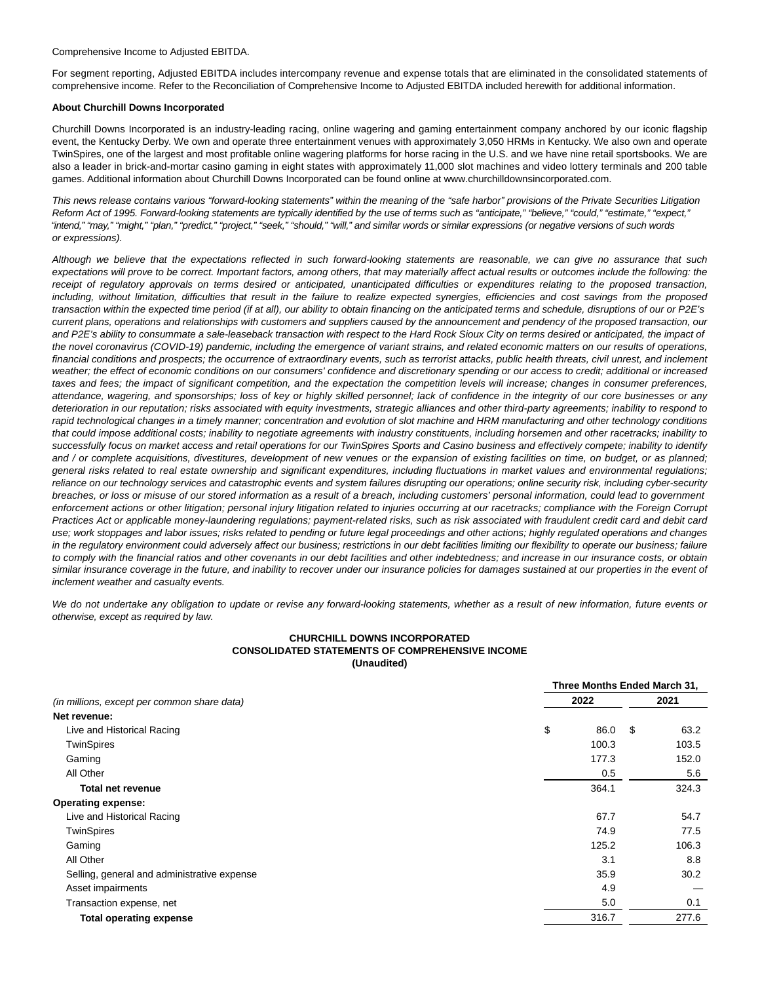Comprehensive Income to Adjusted EBITDA.

For segment reporting, Adjusted EBITDA includes intercompany revenue and expense totals that are eliminated in the consolidated statements of comprehensive income. Refer to the Reconciliation of Comprehensive Income to Adjusted EBITDA included herewith for additional information.

#### **About Churchill Downs Incorporated**

Churchill Downs Incorporated is an industry-leading racing, online wagering and gaming entertainment company anchored by our iconic flagship event, the Kentucky Derby. We own and operate three entertainment venues with approximately 3,050 HRMs in Kentucky. We also own and operate TwinSpires, one of the largest and most profitable online wagering platforms for horse racing in the U.S. and we have nine retail sportsbooks. We are also a leader in brick-and-mortar casino gaming in eight states with approximately 11,000 slot machines and video lottery terminals and 200 table games. Additional information about Churchill Downs Incorporated can be found online at www.churchilldownsincorporated.com.

This news release contains various "forward-looking statements" within the meaning of the "safe harbor" provisions of the Private Securities Litigation Reform Act of 1995. Forward-looking statements are typically identified by the use of terms such as "anticipate," "believe," "could," "estimate," "expect," "intend," "may," "might," "plan," "predict," "project," "seek," "should," "will," and similar words or similar expressions (or negative versions of such words or expressions).

Although we believe that the expectations reflected in such forward-looking statements are reasonable, we can give no assurance that such expectations will prove to be correct. Important factors, among others, that may materially affect actual results or outcomes include the following: the receipt of regulatory approvals on terms desired or anticipated, unanticipated difficulties or expenditures relating to the proposed transaction, including, without limitation, difficulties that result in the failure to realize expected synergies, efficiencies and cost savings from the proposed transaction within the expected time period (if at all), our ability to obtain financing on the anticipated terms and schedule, disruptions of our or P2E's current plans, operations and relationships with customers and suppliers caused by the announcement and pendency of the proposed transaction, our and P2E's ability to consummate a sale-leaseback transaction with respect to the Hard Rock Sioux City on terms desired or anticipated, the impact of the novel coronavirus (COVID-19) pandemic, including the emergence of variant strains, and related economic matters on our results of operations, financial conditions and prospects; the occurrence of extraordinary events, such as terrorist attacks, public health threats, civil unrest, and inclement weather; the effect of economic conditions on our consumers' confidence and discretionary spending or our access to credit; additional or increased taxes and fees; the impact of significant competition, and the expectation the competition levels will increase; changes in consumer preferences, attendance, wagering, and sponsorships; loss of key or highly skilled personnel; lack of confidence in the integrity of our core businesses or any deterioration in our reputation; risks associated with equity investments, strategic alliances and other third-party agreements; inability to respond to rapid technological changes in a timely manner; concentration and evolution of slot machine and HRM manufacturing and other technology conditions that could impose additional costs; inability to negotiate agreements with industry constituents, including horsemen and other racetracks; inability to successfully focus on market access and retail operations for our TwinSpires Sports and Casino business and effectively compete; inability to identify and / or complete acquisitions, divestitures, development of new venues or the expansion of existing facilities on time, on budget, or as planned; general risks related to real estate ownership and significant expenditures, including fluctuations in market values and environmental regulations; reliance on our technology services and catastrophic events and system failures disrupting our operations; online security risk, including cyber-security breaches, or loss or misuse of our stored information as a result of a breach, including customers' personal information, could lead to government enforcement actions or other litigation; personal injury litigation related to injuries occurring at our racetracks; compliance with the Foreign Corrupt Practices Act or applicable money-laundering regulations; payment-related risks, such as risk associated with fraudulent credit card and debit card use; work stoppages and labor issues; risks related to pending or future legal proceedings and other actions; highly regulated operations and changes in the regulatory environment could adversely affect our business; restrictions in our debt facilities limiting our flexibility to operate our business; failure to comply with the financial ratios and other covenants in our debt facilities and other indebtedness; and increase in our insurance costs, or obtain similar insurance coverage in the future, and inability to recover under our insurance policies for damages sustained at our properties in the event of inclement weather and casualty events.

We do not undertake any obligation to update or revise any forward-looking statements, whether as a result of new information, future events or otherwise, except as required by law.

# **CHURCHILL DOWNS INCORPORATED CONSOLIDATED STATEMENTS OF COMPREHENSIVE INCOME (Unaudited)**

|                                                     |            | Three Months Ended March 31, |  |  |  |  |
|-----------------------------------------------------|------------|------------------------------|--|--|--|--|
| 2022<br>(in millions, except per common share data) |            | 2021                         |  |  |  |  |
| Net revenue:                                        |            |                              |  |  |  |  |
| Live and Historical Racing                          | \$<br>86.0 | \$<br>63.2                   |  |  |  |  |
| TwinSpires                                          | 100.3      | 103.5                        |  |  |  |  |
| Gaming                                              | 177.3      | 152.0                        |  |  |  |  |
| All Other                                           | 0.5        | 5.6                          |  |  |  |  |
| <b>Total net revenue</b>                            | 364.1      | 324.3                        |  |  |  |  |
| <b>Operating expense:</b>                           |            |                              |  |  |  |  |
| Live and Historical Racing                          | 67.7       | 54.7                         |  |  |  |  |
| <b>TwinSpires</b>                                   | 74.9       | 77.5                         |  |  |  |  |
| Gaming                                              | 125.2      | 106.3                        |  |  |  |  |
| All Other                                           | 3.1        | 8.8                          |  |  |  |  |
| Selling, general and administrative expense         | 35.9       | 30.2                         |  |  |  |  |
| Asset impairments                                   | 4.9        |                              |  |  |  |  |
| Transaction expense, net                            | 5.0        | 0.1                          |  |  |  |  |
| <b>Total operating expense</b>                      | 316.7      | 277.6                        |  |  |  |  |
|                                                     |            |                              |  |  |  |  |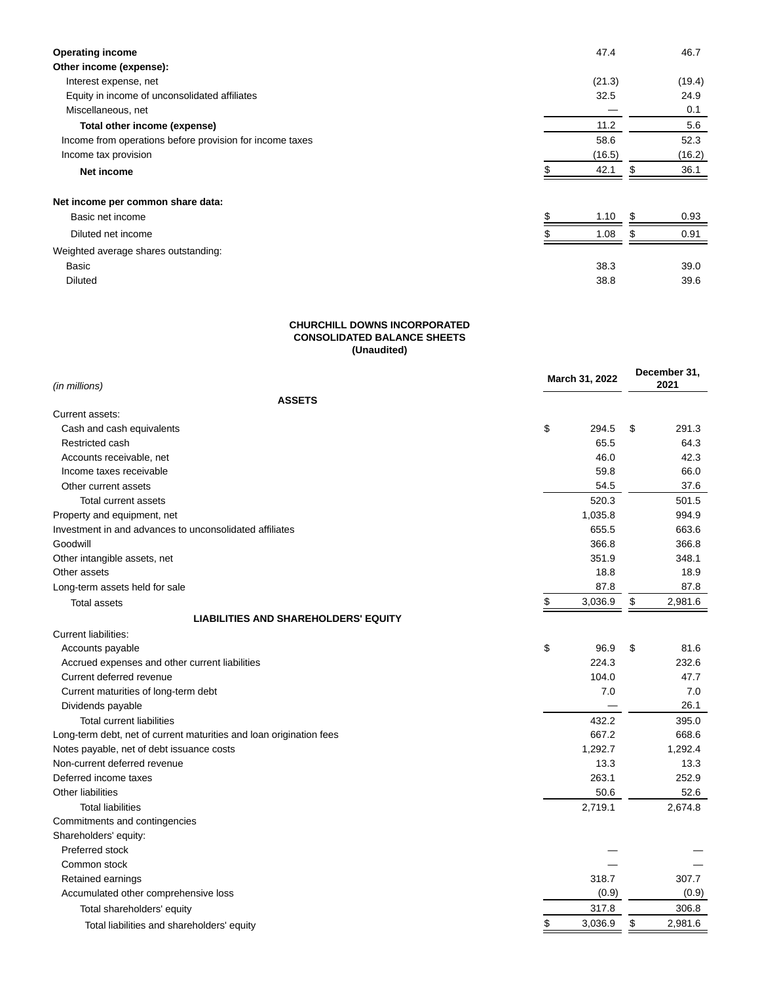| <b>Operating income</b>                                  | 47.4   |     | 46.7   |
|----------------------------------------------------------|--------|-----|--------|
| Other income (expense):                                  |        |     |        |
| Interest expense, net                                    | (21.3) |     | (19.4) |
| Equity in income of unconsolidated affiliates            | 32.5   |     | 24.9   |
| Miscellaneous, net                                       |        |     | 0.1    |
| Total other income (expense)                             | 11.2   |     | 5.6    |
| Income from operations before provision for income taxes | 58.6   |     | 52.3   |
| Income tax provision                                     | (16.5) |     | (16.2) |
| Net income                                               | 42.1   | \$. | 36.1   |
| Net income per common share data:                        |        |     |        |
| Basic net income                                         | 1.10   | \$. | 0.93   |
| Diluted net income                                       | 1.08   | .ፍ  | 0.91   |
| Weighted average shares outstanding:                     |        |     |        |
| Basic                                                    | 38.3   |     | 39.0   |
| <b>Diluted</b>                                           | 38.8   |     | 39.6   |

## **CHURCHILL DOWNS INCORPORATED CONSOLIDATED BALANCE SHEETS (Unaudited)**

| (in millions)                                                       | March 31, 2022 |    | December 31,<br>2021 |  |
|---------------------------------------------------------------------|----------------|----|----------------------|--|
| <b>ASSETS</b>                                                       |                |    |                      |  |
| Current assets:                                                     |                |    |                      |  |
| Cash and cash equivalents                                           | \$<br>294.5    | \$ | 291.3                |  |
| Restricted cash                                                     | 65.5           |    | 64.3                 |  |
| Accounts receivable, net                                            | 46.0           |    | 42.3                 |  |
| Income taxes receivable                                             | 59.8           |    | 66.0                 |  |
| Other current assets                                                | 54.5           |    | 37.6                 |  |
| Total current assets                                                | 520.3          |    | 501.5                |  |
| Property and equipment, net                                         | 1,035.8        |    | 994.9                |  |
| Investment in and advances to unconsolidated affiliates             | 655.5          |    | 663.6                |  |
| Goodwill                                                            | 366.8          |    | 366.8                |  |
| Other intangible assets, net                                        | 351.9          |    | 348.1                |  |
| Other assets                                                        | 18.8           |    | 18.9                 |  |
| Long-term assets held for sale                                      | 87.8           |    | 87.8                 |  |
| <b>Total assets</b>                                                 | \$<br>3,036.9  | \$ | 2,981.6              |  |
| <b>LIABILITIES AND SHAREHOLDERS' EQUITY</b>                         |                |    |                      |  |
| Current liabilities:                                                |                |    |                      |  |
| Accounts payable                                                    | \$<br>96.9     | \$ | 81.6                 |  |
| Accrued expenses and other current liabilities                      | 224.3          |    | 232.6                |  |
| Current deferred revenue                                            | 104.0          |    | 47.7                 |  |
| Current maturities of long-term debt                                | 7.0            |    | 7.0                  |  |
| Dividends payable                                                   |                |    | 26.1                 |  |
| <b>Total current liabilities</b>                                    | 432.2          |    | 395.0                |  |
| Long-term debt, net of current maturities and loan origination fees | 667.2          |    | 668.6                |  |
| Notes payable, net of debt issuance costs                           | 1,292.7        |    | 1,292.4              |  |
| Non-current deferred revenue                                        | 13.3           |    | 13.3                 |  |
| Deferred income taxes                                               | 263.1          |    | 252.9                |  |
| <b>Other liabilities</b>                                            | 50.6           |    | 52.6                 |  |
| <b>Total liabilities</b>                                            | 2,719.1        |    | 2,674.8              |  |
| Commitments and contingencies                                       |                |    |                      |  |
| Shareholders' equity:                                               |                |    |                      |  |
| Preferred stock                                                     |                |    |                      |  |
| Common stock                                                        |                |    |                      |  |
| Retained earnings                                                   | 318.7          |    | 307.7                |  |
| Accumulated other comprehensive loss                                | (0.9)          |    | (0.9)                |  |
| Total shareholders' equity                                          | 317.8          |    | 306.8                |  |
| Total liabilities and shareholders' equity                          | \$<br>3,036.9  | \$ | 2,981.6              |  |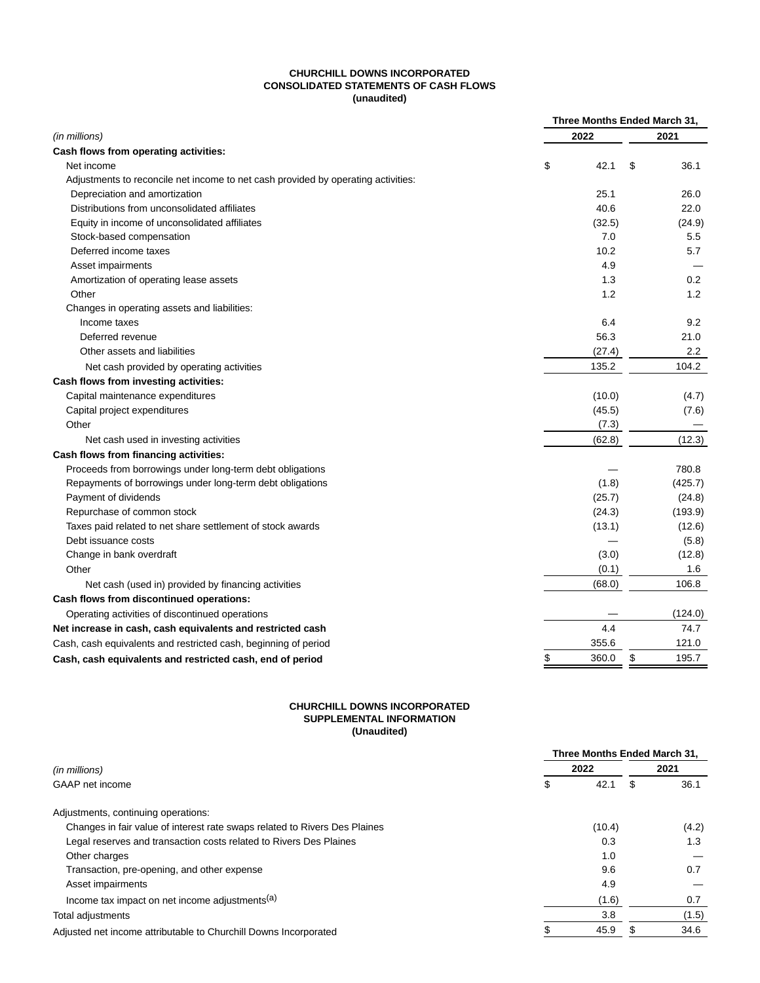# **CHURCHILL DOWNS INCORPORATED CONSOLIDATED STATEMENTS OF CASH FLOWS (unaudited)**

|                                                                                   | Three Months Ended March 31, |        |    |         |
|-----------------------------------------------------------------------------------|------------------------------|--------|----|---------|
| (in millions)                                                                     |                              | 2022   |    | 2021    |
| Cash flows from operating activities:                                             |                              |        |    |         |
| Net income                                                                        | \$                           | 42.1   | \$ | 36.1    |
| Adjustments to reconcile net income to net cash provided by operating activities: |                              |        |    |         |
| Depreciation and amortization                                                     |                              | 25.1   |    | 26.0    |
| Distributions from unconsolidated affiliates                                      |                              | 40.6   |    | 22.0    |
| Equity in income of unconsolidated affiliates                                     |                              | (32.5) |    | (24.9)  |
| Stock-based compensation                                                          |                              | 7.0    |    | 5.5     |
| Deferred income taxes                                                             |                              | 10.2   |    | 5.7     |
| Asset impairments                                                                 |                              | 4.9    |    |         |
| Amortization of operating lease assets                                            |                              | 1.3    |    | 0.2     |
| Other                                                                             |                              | 1.2    |    | 1.2     |
| Changes in operating assets and liabilities:                                      |                              |        |    |         |
| Income taxes                                                                      |                              | 6.4    |    | 9.2     |
| Deferred revenue                                                                  |                              | 56.3   |    | 21.0    |
| Other assets and liabilities                                                      |                              | (27.4) |    | 2.2     |
| Net cash provided by operating activities                                         |                              | 135.2  |    | 104.2   |
| Cash flows from investing activities:                                             |                              |        |    |         |
| Capital maintenance expenditures                                                  |                              | (10.0) |    | (4.7)   |
| Capital project expenditures                                                      |                              | (45.5) |    | (7.6)   |
| Other                                                                             |                              | (7.3)  |    |         |
| Net cash used in investing activities                                             |                              | (62.8) |    | (12.3)  |
| Cash flows from financing activities:                                             |                              |        |    |         |
| Proceeds from borrowings under long-term debt obligations                         |                              |        |    | 780.8   |
| Repayments of borrowings under long-term debt obligations                         |                              | (1.8)  |    | (425.7) |
| Payment of dividends                                                              |                              | (25.7) |    | (24.8)  |
| Repurchase of common stock                                                        |                              | (24.3) |    | (193.9) |
| Taxes paid related to net share settlement of stock awards                        |                              | (13.1) |    | (12.6)  |
| Debt issuance costs                                                               |                              |        |    | (5.8)   |
| Change in bank overdraft                                                          |                              | (3.0)  |    | (12.8)  |
| Other                                                                             |                              | (0.1)  |    | 1.6     |
| Net cash (used in) provided by financing activities                               |                              | (68.0) |    | 106.8   |
| Cash flows from discontinued operations:                                          |                              |        |    |         |
| Operating activities of discontinued operations                                   |                              |        |    | (124.0) |
| Net increase in cash, cash equivalents and restricted cash                        |                              | 4.4    |    | 74.7    |
| Cash, cash equivalents and restricted cash, beginning of period                   |                              | 355.6  |    | 121.0   |
| Cash, cash equivalents and restricted cash, end of period                         | \$                           | 360.0  | \$ | 195.7   |

# **CHURCHILL DOWNS INCORPORATED SUPPLEMENTAL INFORMATION (Unaudited)**

|                                                                            | Three Months Ended March 31. |        |      |       |
|----------------------------------------------------------------------------|------------------------------|--------|------|-------|
| (in millions)                                                              | 2022                         |        | 2021 |       |
| GAAP net income                                                            | \$                           | 42.1   | \$.  | 36.1  |
| Adjustments, continuing operations:                                        |                              |        |      |       |
| Changes in fair value of interest rate swaps related to Rivers Des Plaines |                              | (10.4) |      | (4.2) |
| Legal reserves and transaction costs related to Rivers Des Plaines         |                              | 0.3    |      | 1.3   |
| Other charges                                                              |                              | 1.0    |      |       |
| Transaction, pre-opening, and other expense                                |                              | 9.6    |      | 0.7   |
| Asset impairments                                                          |                              | 4.9    |      |       |
| Income tax impact on net income adjustments <sup>(a)</sup>                 |                              | (1.6)  |      | 0.7   |
| Total adjustments                                                          |                              | 3.8    |      | (1.5) |
| Adjusted net income attributable to Churchill Downs Incorporated           |                              | 45.9   |      | 34.6  |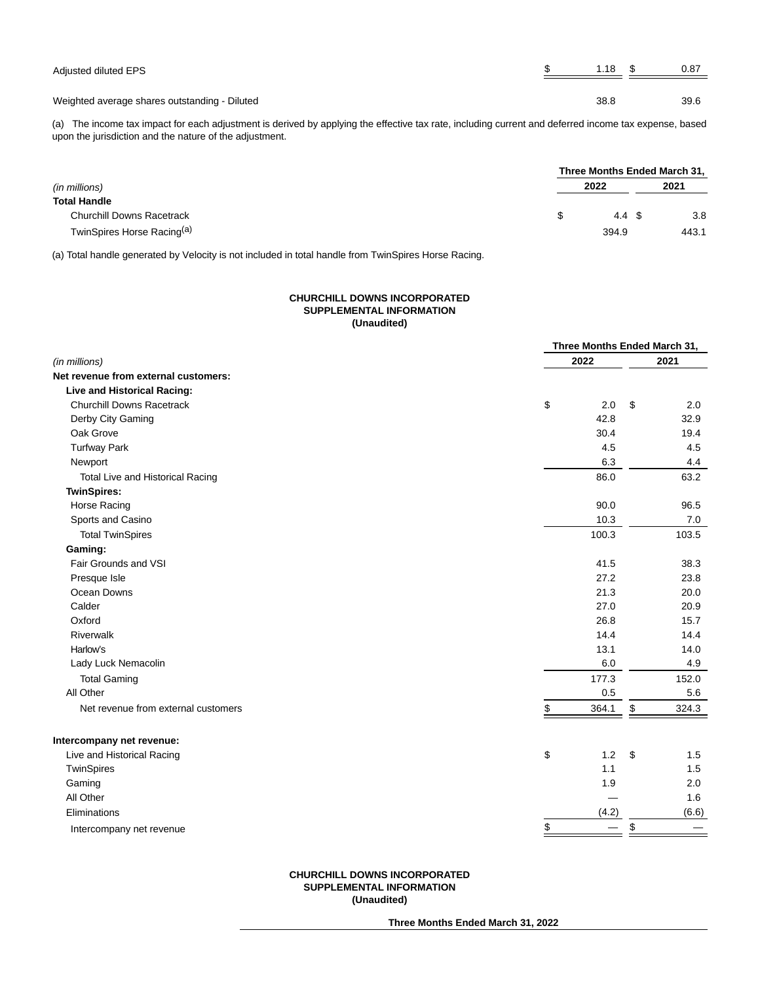| Adjusted diluted EPS                          | $1.18$ \$ | 0.87 |
|-----------------------------------------------|-----------|------|
| Weighted average shares outstanding - Diluted | 38.8      | 39.6 |

(a) The income tax impact for each adjustment is derived by applying the effective tax rate, including current and deferred income tax expense, based upon the jurisdiction and the nature of the adjustment.

|                                        | Three Months Ended March 31, |  |       |
|----------------------------------------|------------------------------|--|-------|
| (in millions)                          | 2022                         |  | 2021  |
| <b>Total Handle</b>                    |                              |  |       |
| <b>Churchill Downs Racetrack</b>       | 4.4 \$                       |  | 3.8   |
| TwinSpires Horse Racing <sup>(a)</sup> | 394.9                        |  | 443.1 |

(a) Total handle generated by Velocity is not included in total handle from TwinSpires Horse Racing.

# **CHURCHILL DOWNS INCORPORATED SUPPLEMENTAL INFORMATION (Unaudited)**

| 2022<br>2021<br>Live and Historical Racing:<br><b>Churchill Downs Racetrack</b><br>\$<br>2.0<br>\$<br>2.0<br>Derby City Gaming<br>42.8<br>32.9<br>Oak Grove<br>30.4<br>19.4<br><b>Turfway Park</b><br>4.5<br>4.5<br>6.3<br>Newport<br>4.4<br>86.0<br>63.2<br>Total Live and Historical Racing<br><b>TwinSpires:</b><br>90.0<br>Horse Racing<br>96.5<br>Sports and Casino<br>10.3<br>7.0<br><b>Total TwinSpires</b><br>100.3<br>103.5<br>Gaming:<br>Fair Grounds and VSI<br>41.5<br>38.3<br>27.2<br>Presque Isle<br>23.8<br>Ocean Downs<br>21.3<br>20.0<br>Calder<br>27.0<br>20.9<br>Oxford<br>26.8<br>15.7<br><b>Riverwalk</b><br>14.4<br>14.4<br>Harlow's<br>13.1<br>14.0<br>6.0<br>Lady Luck Nemacolin<br>4.9<br><b>Total Gaming</b><br>177.3<br>152.0<br>All Other<br>0.5<br>5.6<br>364.1<br>\$<br>324.3<br>Net revenue from external customers<br>\$<br>Intercompany net revenue:<br>\$<br>1.2<br>Live and Historical Racing<br>-\$<br>1.5<br>TwinSpires<br>1.1<br>1.5<br>Gaming<br>1.9<br>2.0<br>All Other<br>1.6<br>(4.2)<br>(6.6)<br>Eliminations<br>\$<br>\$<br>Intercompany net revenue |                                      | Three Months Ended March 31, |  |
|--------------------------------------------------------------------------------------------------------------------------------------------------------------------------------------------------------------------------------------------------------------------------------------------------------------------------------------------------------------------------------------------------------------------------------------------------------------------------------------------------------------------------------------------------------------------------------------------------------------------------------------------------------------------------------------------------------------------------------------------------------------------------------------------------------------------------------------------------------------------------------------------------------------------------------------------------------------------------------------------------------------------------------------------------------------------------------------------------|--------------------------------------|------------------------------|--|
|                                                                                                                                                                                                                                                                                                                                                                                                                                                                                                                                                                                                                                                                                                                                                                                                                                                                                                                                                                                                                                                                                                  | (in millions)                        |                              |  |
|                                                                                                                                                                                                                                                                                                                                                                                                                                                                                                                                                                                                                                                                                                                                                                                                                                                                                                                                                                                                                                                                                                  | Net revenue from external customers: |                              |  |
|                                                                                                                                                                                                                                                                                                                                                                                                                                                                                                                                                                                                                                                                                                                                                                                                                                                                                                                                                                                                                                                                                                  |                                      |                              |  |
|                                                                                                                                                                                                                                                                                                                                                                                                                                                                                                                                                                                                                                                                                                                                                                                                                                                                                                                                                                                                                                                                                                  |                                      |                              |  |
|                                                                                                                                                                                                                                                                                                                                                                                                                                                                                                                                                                                                                                                                                                                                                                                                                                                                                                                                                                                                                                                                                                  |                                      |                              |  |
|                                                                                                                                                                                                                                                                                                                                                                                                                                                                                                                                                                                                                                                                                                                                                                                                                                                                                                                                                                                                                                                                                                  |                                      |                              |  |
|                                                                                                                                                                                                                                                                                                                                                                                                                                                                                                                                                                                                                                                                                                                                                                                                                                                                                                                                                                                                                                                                                                  |                                      |                              |  |
|                                                                                                                                                                                                                                                                                                                                                                                                                                                                                                                                                                                                                                                                                                                                                                                                                                                                                                                                                                                                                                                                                                  |                                      |                              |  |
|                                                                                                                                                                                                                                                                                                                                                                                                                                                                                                                                                                                                                                                                                                                                                                                                                                                                                                                                                                                                                                                                                                  |                                      |                              |  |
|                                                                                                                                                                                                                                                                                                                                                                                                                                                                                                                                                                                                                                                                                                                                                                                                                                                                                                                                                                                                                                                                                                  |                                      |                              |  |
|                                                                                                                                                                                                                                                                                                                                                                                                                                                                                                                                                                                                                                                                                                                                                                                                                                                                                                                                                                                                                                                                                                  |                                      |                              |  |
|                                                                                                                                                                                                                                                                                                                                                                                                                                                                                                                                                                                                                                                                                                                                                                                                                                                                                                                                                                                                                                                                                                  |                                      |                              |  |
|                                                                                                                                                                                                                                                                                                                                                                                                                                                                                                                                                                                                                                                                                                                                                                                                                                                                                                                                                                                                                                                                                                  |                                      |                              |  |
|                                                                                                                                                                                                                                                                                                                                                                                                                                                                                                                                                                                                                                                                                                                                                                                                                                                                                                                                                                                                                                                                                                  |                                      |                              |  |
|                                                                                                                                                                                                                                                                                                                                                                                                                                                                                                                                                                                                                                                                                                                                                                                                                                                                                                                                                                                                                                                                                                  |                                      |                              |  |
|                                                                                                                                                                                                                                                                                                                                                                                                                                                                                                                                                                                                                                                                                                                                                                                                                                                                                                                                                                                                                                                                                                  |                                      |                              |  |
|                                                                                                                                                                                                                                                                                                                                                                                                                                                                                                                                                                                                                                                                                                                                                                                                                                                                                                                                                                                                                                                                                                  |                                      |                              |  |
|                                                                                                                                                                                                                                                                                                                                                                                                                                                                                                                                                                                                                                                                                                                                                                                                                                                                                                                                                                                                                                                                                                  |                                      |                              |  |
|                                                                                                                                                                                                                                                                                                                                                                                                                                                                                                                                                                                                                                                                                                                                                                                                                                                                                                                                                                                                                                                                                                  |                                      |                              |  |
|                                                                                                                                                                                                                                                                                                                                                                                                                                                                                                                                                                                                                                                                                                                                                                                                                                                                                                                                                                                                                                                                                                  |                                      |                              |  |
|                                                                                                                                                                                                                                                                                                                                                                                                                                                                                                                                                                                                                                                                                                                                                                                                                                                                                                                                                                                                                                                                                                  |                                      |                              |  |
|                                                                                                                                                                                                                                                                                                                                                                                                                                                                                                                                                                                                                                                                                                                                                                                                                                                                                                                                                                                                                                                                                                  |                                      |                              |  |
|                                                                                                                                                                                                                                                                                                                                                                                                                                                                                                                                                                                                                                                                                                                                                                                                                                                                                                                                                                                                                                                                                                  |                                      |                              |  |
|                                                                                                                                                                                                                                                                                                                                                                                                                                                                                                                                                                                                                                                                                                                                                                                                                                                                                                                                                                                                                                                                                                  |                                      |                              |  |
|                                                                                                                                                                                                                                                                                                                                                                                                                                                                                                                                                                                                                                                                                                                                                                                                                                                                                                                                                                                                                                                                                                  |                                      |                              |  |
|                                                                                                                                                                                                                                                                                                                                                                                                                                                                                                                                                                                                                                                                                                                                                                                                                                                                                                                                                                                                                                                                                                  |                                      |                              |  |
|                                                                                                                                                                                                                                                                                                                                                                                                                                                                                                                                                                                                                                                                                                                                                                                                                                                                                                                                                                                                                                                                                                  |                                      |                              |  |
|                                                                                                                                                                                                                                                                                                                                                                                                                                                                                                                                                                                                                                                                                                                                                                                                                                                                                                                                                                                                                                                                                                  |                                      |                              |  |
|                                                                                                                                                                                                                                                                                                                                                                                                                                                                                                                                                                                                                                                                                                                                                                                                                                                                                                                                                                                                                                                                                                  |                                      |                              |  |
|                                                                                                                                                                                                                                                                                                                                                                                                                                                                                                                                                                                                                                                                                                                                                                                                                                                                                                                                                                                                                                                                                                  |                                      |                              |  |
|                                                                                                                                                                                                                                                                                                                                                                                                                                                                                                                                                                                                                                                                                                                                                                                                                                                                                                                                                                                                                                                                                                  |                                      |                              |  |
|                                                                                                                                                                                                                                                                                                                                                                                                                                                                                                                                                                                                                                                                                                                                                                                                                                                                                                                                                                                                                                                                                                  |                                      |                              |  |

# **CHURCHILL DOWNS INCORPORATED SUPPLEMENTAL INFORMATION (Unaudited)**

**Three Months Ended March 31, 2022**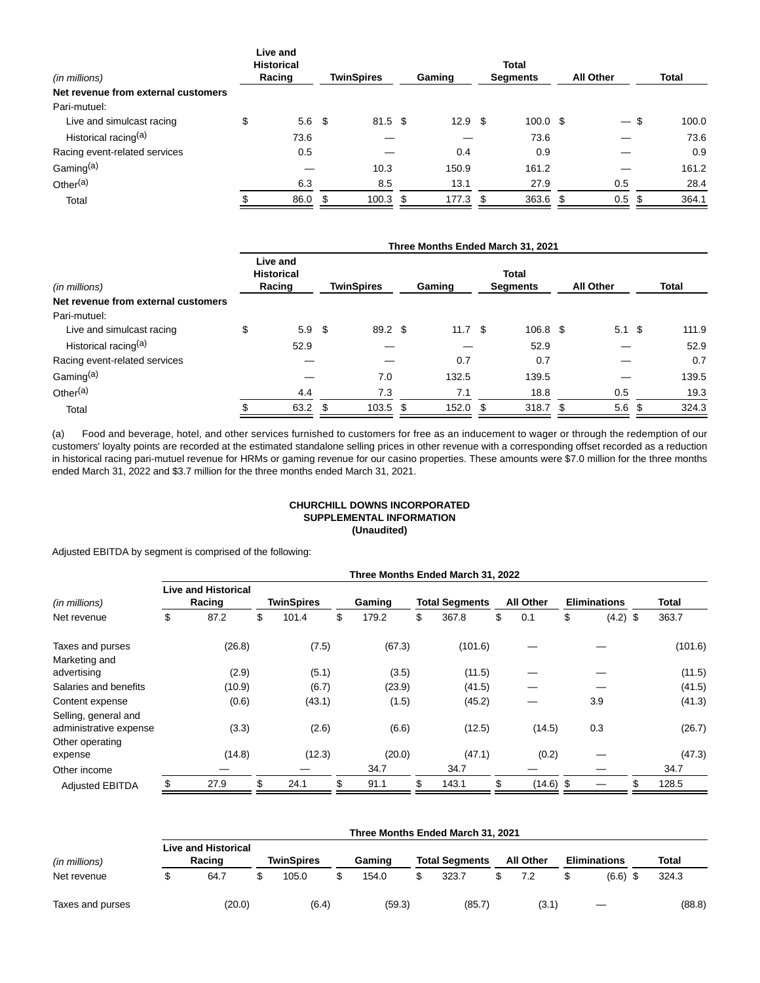| (in millions)                       | Live and<br><b>Historical</b><br>Racing |     | <b>TwinSpires</b>  | Gaming            |     | <b>Total</b><br><b>Segments</b> |    | <b>All Other</b>         | Total |       |
|-------------------------------------|-----------------------------------------|-----|--------------------|-------------------|-----|---------------------------------|----|--------------------------|-------|-------|
| Net revenue from external customers |                                         |     |                    |                   |     |                                 |    |                          |       |       |
| Pari-mutuel:                        |                                         |     |                    |                   |     |                                 |    |                          |       |       |
| Live and simulcast racing           | \$<br>5.6 <sup>5</sup>                  |     | $81.5$ \$          | 12.9 <sup>5</sup> |     | $100.0 \text{ }$ \$             |    | $\overline{\phantom{0}}$ | \$    | 100.0 |
| Historical racing <sup>(a)</sup>    | 73.6                                    |     |                    |                   |     | 73.6                            |    |                          |       | 73.6  |
| Racing event-related services       | 0.5                                     |     |                    | 0.4               |     | 0.9                             |    |                          |       | 0.9   |
| Gaming <sup>(a)</sup>               |                                         |     | 10.3               | 150.9             |     | 161.2                           |    |                          |       | 161.2 |
| Other <sup>(a)</sup>                | 6.3                                     |     | 8.5                | 13.1              |     | 27.9                            |    | 0.5                      |       | 28.4  |
| Total                               | 86.0                                    | \$. | $100.3 \text{ } $$ | 177.3             | \$. | 363.6                           | -S | 0.5 <sup>5</sup>         |       | 364.1 |
|                                     |                                         |     |                    |                   |     |                                 |    |                          |       |       |

|                                     |                                         |                   |          |     | Three Months Ended March 31, 2021 |                  |              |
|-------------------------------------|-----------------------------------------|-------------------|----------|-----|-----------------------------------|------------------|--------------|
| (in millions)                       | Live and<br><b>Historical</b><br>Racing | <b>TwinSpires</b> | Gaming   |     | <b>Total</b><br><b>Segments</b>   | <b>All Other</b> | <b>Total</b> |
| Net revenue from external customers |                                         |                   |          |     |                                   |                  |              |
| Pari-mutuel:                        |                                         |                   |          |     |                                   |                  |              |
| Live and simulcast racing           | \$<br>5.9 <sup>5</sup>                  | 89.2 \$           | 11.7 $$$ |     | 106.8 \$                          | $5.1 \text{ } $$ | 111.9        |
| Historical racing <sup>(a)</sup>    | 52.9                                    |                   |          |     | 52.9                              |                  | 52.9         |
| Racing event-related services       |                                         |                   | 0.7      |     | 0.7                               |                  | 0.7          |
| Gaming <sup>(a)</sup>               |                                         | 7.0               | 132.5    |     | 139.5                             |                  | 139.5        |
| Other $(a)$                         | 4.4                                     | 7.3               | 7.1      |     | 18.8                              | 0.5              | 19.3         |
| Total                               | 63.2                                    | \$<br>$103.5$ \$  | 152.0    | \$. | 318.7 <sup>5</sup>                | 5.6 <sup>5</sup> | 324.3        |

(a) Food and beverage, hotel, and other services furnished to customers for free as an inducement to wager or through the redemption of our customers' loyalty points are recorded at the estimated standalone selling prices in other revenue with a corresponding offset recorded as a reduction in historical racing pari-mutuel revenue for HRMs or gaming revenue for our casino properties. These amounts were \$7.0 million for the three months ended March 31, 2022 and \$3.7 million for the three months ended March 31, 2021.

# **CHURCHILL DOWNS INCORPORATED SUPPLEMENTAL INFORMATION (Unaudited)**

Adjusted EBITDA by segment is comprised of the following:

|                                                                   |                                      |                   |             | Three Months Ended March 31, 2022 |                  |                     |         |
|-------------------------------------------------------------------|--------------------------------------|-------------------|-------------|-----------------------------------|------------------|---------------------|---------|
| (in millions)                                                     | <b>Live and Historical</b><br>Racing | <b>TwinSpires</b> | Gaming      | <b>Total Segments</b>             | <b>All Other</b> | <b>Eliminations</b> | Total   |
| Net revenue                                                       | \$<br>87.2                           | \$<br>101.4       | \$<br>179.2 | \$<br>367.8                       | \$<br>0.1        | \$<br>$(4.2)$ \$    | 363.7   |
| Taxes and purses                                                  | (26.8)                               | (7.5)             | (67.3)      | (101.6)                           |                  |                     | (101.6) |
| Marketing and                                                     |                                      |                   |             |                                   |                  |                     |         |
| advertising                                                       | (2.9)                                | (5.1)             | (3.5)       | (11.5)                            |                  |                     | (11.5)  |
| Salaries and benefits                                             | (10.9)                               | (6.7)             | (23.9)      | (41.5)                            |                  |                     | (41.5)  |
| Content expense                                                   | (0.6)                                | (43.1)            | (1.5)       | (45.2)                            |                  | 3.9                 | (41.3)  |
| Selling, general and<br>administrative expense<br>Other operating | (3.3)                                | (2.6)             | (6.6)       | (12.5)                            | (14.5)           | 0.3                 | (26.7)  |
| expense                                                           | (14.8)                               | (12.3)            | (20.0)      | (47.1)                            | (0.2)            |                     | (47.3)  |
| Other income                                                      |                                      |                   | 34.7        | 34.7                              |                  |                     | 34.7    |
| <b>Adjusted EBITDA</b>                                            | \$<br>27.9                           | \$<br>24.1        | \$<br>91.1  | 143.1                             | $(14.6)$ \$      | \$                  | 128.5   |

|                  | Three Months Ended March 31, 2021                  |  |       |  |        |  |                       |  |                  |  |                     |  |        |  |
|------------------|----------------------------------------------------|--|-------|--|--------|--|-----------------------|--|------------------|--|---------------------|--|--------|--|
| (in millions)    | <b>Live and Historical</b><br>TwinSpires<br>Racing |  |       |  | Gaming |  | <b>Total Segments</b> |  | <b>All Other</b> |  | <b>Eliminations</b> |  | Total  |  |
| Net revenue      | 64.7                                               |  | 105.0 |  | 154.0  |  | 323.7                 |  | 7.2              |  | (6.6)               |  | 324.3  |  |
| Taxes and purses | (20.0)                                             |  | (6.4) |  | (59.3) |  | (85.7)                |  | (3.1             |  |                     |  | (88.8) |  |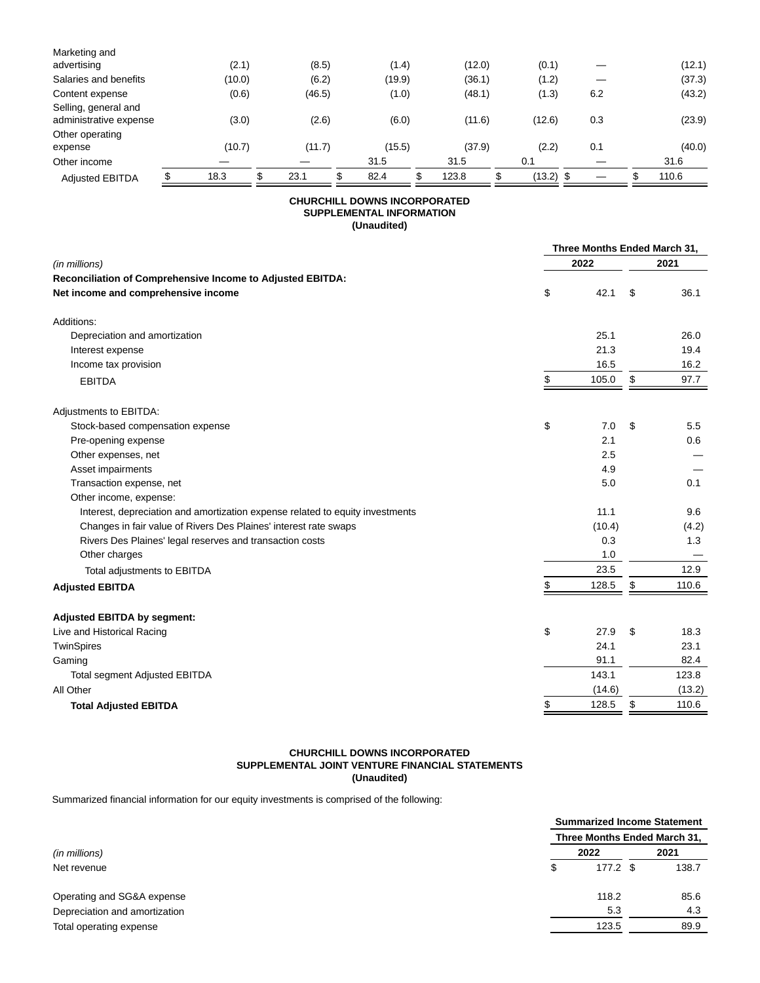| Marketing and                                  |        |        |        |        |             |     |  |        |
|------------------------------------------------|--------|--------|--------|--------|-------------|-----|--|--------|
| advertising                                    | (2.1)  | (8.5)  | (1.4)  | (12.0) | (0.1)       |     |  | (12.1) |
| Salaries and benefits                          | (10.0) | (6.2)  | (19.9) | (36.1) | (1.2)       |     |  | (37.3) |
| Content expense                                | (0.6)  | (46.5) | (1.0)  | (48.1) | (1.3)       | 6.2 |  | (43.2) |
| Selling, general and<br>administrative expense | (3.0)  | (2.6)  | (6.0)  | (11.6) | (12.6)      | 0.3 |  | (23.9) |
| Other operating<br>expense                     | (10.7) | (11.7) | (15.5) | (37.9) | (2.2)       | 0.1 |  | (40.0) |
| Other income                                   |        |        | 31.5   | 31.5   | 0.1         |     |  | 31.6   |
| <b>Adjusted EBITDA</b>                         | 18.3   | 23.1   | 82.4   | 123.8  | $(13.2)$ \$ |     |  | 110.6  |
|                                                |        |        |        |        |             |     |  |        |

# **CHURCHILL DOWNS INCORPORATED SUPPLEMENTAL INFORMATION (Unaudited)**

|                                                                               | Three Months Ended March 31, |        |    |        |  |  |  |
|-------------------------------------------------------------------------------|------------------------------|--------|----|--------|--|--|--|
| (in millions)                                                                 |                              | 2022   |    | 2021   |  |  |  |
| Reconciliation of Comprehensive Income to Adjusted EBITDA:                    |                              |        |    |        |  |  |  |
| Net income and comprehensive income                                           | \$                           | 42.1   | \$ | 36.1   |  |  |  |
| Additions:                                                                    |                              |        |    |        |  |  |  |
| Depreciation and amortization                                                 |                              | 25.1   |    | 26.0   |  |  |  |
| Interest expense                                                              |                              | 21.3   |    | 19.4   |  |  |  |
| Income tax provision                                                          |                              | 16.5   |    | 16.2   |  |  |  |
| <b>EBITDA</b>                                                                 | \$                           | 105.0  | \$ | 97.7   |  |  |  |
| Adjustments to EBITDA:                                                        |                              |        |    |        |  |  |  |
| Stock-based compensation expense                                              | \$                           | 7.0    | \$ | 5.5    |  |  |  |
| Pre-opening expense                                                           |                              | 2.1    |    | 0.6    |  |  |  |
| Other expenses, net                                                           |                              | 2.5    |    |        |  |  |  |
| Asset impairments                                                             |                              | 4.9    |    |        |  |  |  |
| Transaction expense, net                                                      |                              | 5.0    |    | 0.1    |  |  |  |
| Other income, expense:                                                        |                              |        |    |        |  |  |  |
| Interest, depreciation and amortization expense related to equity investments |                              | 11.1   |    | 9.6    |  |  |  |
| Changes in fair value of Rivers Des Plaines' interest rate swaps              |                              | (10.4) |    | (4.2)  |  |  |  |
| Rivers Des Plaines' legal reserves and transaction costs                      |                              | 0.3    |    | 1.3    |  |  |  |
| Other charges                                                                 |                              | 1.0    |    |        |  |  |  |
| Total adjustments to EBITDA                                                   |                              | 23.5   |    | 12.9   |  |  |  |
| <b>Adjusted EBITDA</b>                                                        | \$                           | 128.5  | \$ | 110.6  |  |  |  |
| <b>Adjusted EBITDA by segment:</b>                                            |                              |        |    |        |  |  |  |
| Live and Historical Racing                                                    | \$                           | 27.9   | \$ | 18.3   |  |  |  |
| TwinSpires                                                                    |                              | 24.1   |    | 23.1   |  |  |  |
| Gaming                                                                        |                              | 91.1   |    | 82.4   |  |  |  |
| <b>Total segment Adjusted EBITDA</b>                                          |                              | 143.1  |    | 123.8  |  |  |  |
| All Other                                                                     |                              | (14.6) |    | (13.2) |  |  |  |
| <b>Total Adjusted EBITDA</b>                                                  | \$                           | 128.5  | \$ | 110.6  |  |  |  |

# **CHURCHILL DOWNS INCORPORATED SUPPLEMENTAL JOINT VENTURE FINANCIAL STATEMENTS (Unaudited)**

Summarized financial information for our equity investments is comprised of the following:

|                               |    | <b>Summarized Income Statement</b> |  |       |
|-------------------------------|----|------------------------------------|--|-------|
|                               |    | Three Months Ended March 31,       |  |       |
| (in millions)                 |    | 2022                               |  | 2021  |
| Net revenue                   | \$ | $177.2$ \$                         |  | 138.7 |
| Operating and SG&A expense    |    | 118.2                              |  | 85.6  |
| Depreciation and amortization |    | 5.3                                |  | 4.3   |
| Total operating expense       |    | 123.5                              |  | 89.9  |